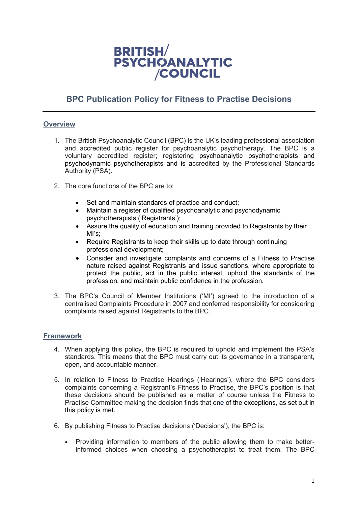

# **BPC Publication Policy for Fitness to Practise Decisions**

## **Overview**

- 1. The British Psychoanalytic Council (BPC) is the UK's leading professional association and accredited public register for psychoanalytic psychotherapy. The BPC is a voluntary accredited register; registering psychoanalytic psychotherapists and psychodynamic psychotherapists and is accredited by the Professional Standards Authority (PSA).
- 2. The core functions of the BPC are to:
	- Set and maintain standards of practice and conduct;
	- Maintain a register of qualified psychoanalytic and psychodynamic psychotherapists ('Registrants');
	- Assure the quality of education and training provided to Registrants by their MI's;
	- Require Registrants to keep their skills up to date through continuing professional development;
	- Consider and investigate complaints and concerns of a Fitness to Practise nature raised against Registrants and issue sanctions, where appropriate to protect the public, act in the public interest, uphold the standards of the profession, and maintain public confidence in the profession.
- 3. The BPC's Council of Member Institutions ('MI') agreed to the introduction of a centralised Complaints Procedure in 2007 and conferred responsibility for considering complaints raised against Registrants to the BPC.

# **Framework**

- 4. When applying this policy, the BPC is required to uphold and implement the PSA's standards. This means that the BPC must carry out its governance in a transparent, open, and accountable manner.
- 5. In relation to Fitness to Practise Hearings ('Hearings'), where the BPC considers complaints concerning a Registrant's Fitness to Practise, the BPC's position is that these decisions should be published as a matter of course unless the Fitness to Practise Committee making the decision finds that one of the exceptions, as set out in this policy is met.
- 6. By publishing Fitness to Practise decisions ('Decisions'), the BPC is:
	- Providing information to members of the public allowing them to make betterinformed choices when choosing a psychotherapist to treat them. The BPC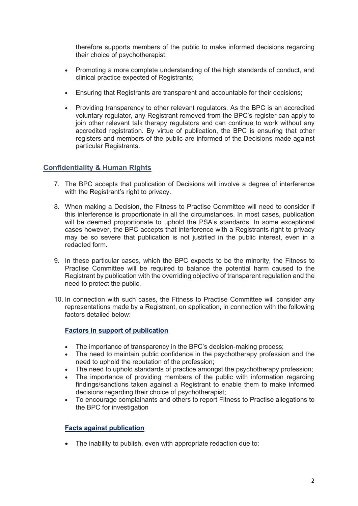therefore supports members of the public to make informed decisions regarding their choice of psychotherapist;

- Promoting a more complete understanding of the high standards of conduct, and clinical practice expected of Registrants;
- Ensuring that Registrants are transparent and accountable for their decisions;
- Providing transparency to other relevant regulators. As the BPC is an accredited voluntary regulator, any Registrant removed from the BPC's register can apply to join other relevant talk therapy regulators and can continue to work without any accredited registration. By virtue of publication, the BPC is ensuring that other registers and members of the public are informed of the Decisions made against particular Registrants.

# **Confidentiality & Human Rights**

- 7. The BPC accepts that publication of Decisions will involve a degree of interference with the Registrant's right to privacy.
- 8. When making a Decision, the Fitness to Practise Committee will need to consider if this interference is proportionate in all the circumstances. In most cases, publication will be deemed proportionate to uphold the PSA's standards. In some exceptional cases however, the BPC accepts that interference with a Registrants right to privacy may be so severe that publication is not justified in the public interest, even in a redacted form.
- 9. In these particular cases, which the BPC expects to be the minority, the Fitness to Practise Committee will be required to balance the potential harm caused to the Registrant by publication with the overriding objective of transparent regulation and the need to protect the public.
- 10. In connection with such cases, the Fitness to Practise Committee will consider any representations made by a Registrant, on application, in connection with the following factors detailed below:

**Factors in support of publication**

- The importance of transparency in the BPC's decision-making process;
- The need to maintain public confidence in the psychotherapy profession and the need to uphold the reputation of the profession;
- The need to uphold standards of practice amongst the psychotherapy profession;
- The importance of providing members of the public with information regarding findings/sanctions taken against a Registrant to enable them to make informed decisions regarding their choice of psychotherapist;
- To encourage complainants and others to report Fitness to Practise allegations to the BPC for investigation

# **Facts against publication**

• The inability to publish, even with appropriate redaction due to: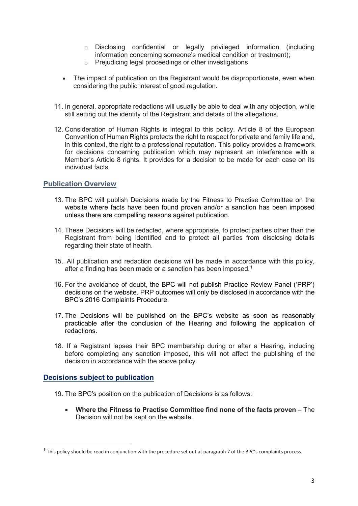- o Disclosing confidential or legally privileged information (including information concerning someone's medical condition or treatment);
- o Prejudicing legal proceedings or other investigations
- The impact of publication on the Registrant would be disproportionate, even when considering the public interest of good regulation.
- 11. In general, appropriate redactions will usually be able to deal with any objection, while still setting out the identity of the Registrant and details of the allegations.
- 12. Consideration of Human Rights is integral to this policy. Article 8 of the European Convention of Human Rights protects the right to respect for private and family life and, in this context, the right to a professional reputation. This policy provides a framework for decisions concerning publication which may represent an interference with a Member's Article 8 rights. It provides for a decision to be made for each case on its individual facts.

# **Publication Overview**

- 13. The BPC will publish Decisions made by the Fitness to Practise Committee on the website where facts have been found proven and/or a sanction has been imposed unless there are compelling reasons against publication.
- 14. These Decisions will be redacted, where appropriate, to protect parties other than the Registrant from being identified and to protect all parties from disclosing details regarding their state of health.
- 15. All publication and redaction decisions will be made in accordance with this policy, after a finding has been made or a sanction has been imposed.<sup>[1](#page-2-0)</sup>
- 16. For the avoidance of doubt, the BPC will not publish Practice Review Panel ('PRP') decisions on the website. PRP outcomes will only be disclosed in accordance with the BPC's 2016 Complaints Procedure.
- 17. The Decisions will be published on the BPC's website as soon as reasonably practicable after the conclusion of the Hearing and following the application of redactions.
- 18. If a Registrant lapses their BPC membership during or after a Hearing, including before completing any sanction imposed, this will not affect the publishing of the decision in accordance with the above policy.

#### **Decisions subject to publication**

- 19. The BPC's position on the publication of Decisions is as follows:
	- **Where the Fitness to Practise Committee find none of the facts proven** The Decision will not be kept on the website.

<span id="page-2-0"></span> $1$  This policy should be read in conjunction with the procedure set out at paragraph 7 of the BPC's complaints process.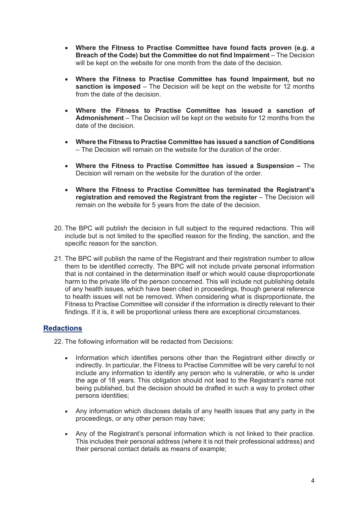- **Where the Fitness to Practise Committee have found facts proven (e.g. a Breach of the Code) but the Committee do not find Impairment** – The Decision will be kept on the website for one month from the date of the decision.
- **Where the Fitness to Practise Committee has found Impairment, but no sanction is imposed** – The Decision will be kept on the website for 12 months from the date of the decision.
- **Where the Fitness to Practise Committee has issued a sanction of Admonishment** – The Decision will be kept on the website for 12 months from the date of the decision.
- **Where the Fitness to Practise Committee has issued a sanction of Conditions** – The Decision will remain on the website for the duration of the order.
- **Where the Fitness to Practise Committee has issued a Suspension** The Decision will remain on the website for the duration of the order.
- **Where the Fitness to Practise Committee has terminated the Registrant's registration and removed the Registrant from the register** – The Decision will remain on the website for 5 years from the date of the decision.
- 20. The BPC will publish the decision in full subject to the required redactions. This will include but is not limited to the specified reason for the finding, the sanction, and the specific reason for the sanction.
- 21. The BPC will publish the name of the Registrant and their registration number to allow them to be identified correctly. The BPC will not include private personal information that is not contained in the determination itself or which would cause disproportionate harm to the private life of the person concerned. This will include not publishing details of any health issues, which have been cited in proceedings, though general reference to health issues will not be removed. When considering what is disproportionate, the Fitness to Practise Committee will consider if the information is directly relevant to their findings. If it is, it will be proportional unless there are exceptional circumstances.

# **Redactions**

22. The following information will be redacted from Decisions:

- Information which identifies persons other than the Registrant either directly or indirectly. In particular, the Fitness to Practise Committee will be very careful to not include any information to identify any person who is vulnerable, or who is under the age of 18 years. This obligation should not lead to the Registrant's name not being published, but the decision should be drafted in such a way to protect other persons identities;
- Any information which discloses details of any health issues that any party in the proceedings, or any other person may have;
- Any of the Registrant's personal information which is not linked to their practice. This includes their personal address (where it is not their professional address) and their personal contact details as means of example;